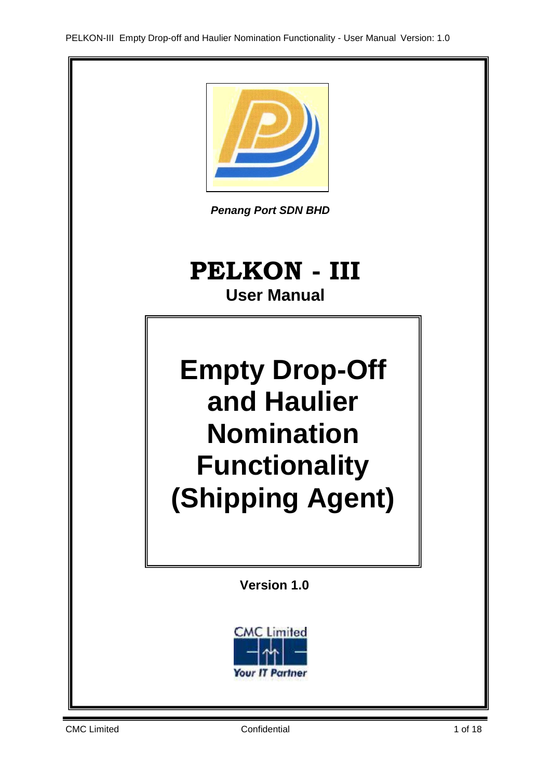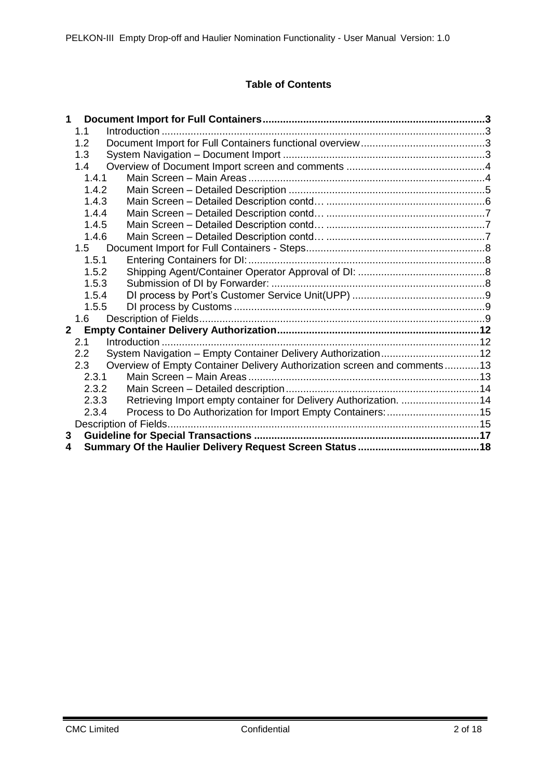# **Table of Contents**

| 1                |                                                                          |  |
|------------------|--------------------------------------------------------------------------|--|
| 1.1              |                                                                          |  |
| 1.2              |                                                                          |  |
| 1.3              |                                                                          |  |
| 1.4              |                                                                          |  |
| 1.4.1            |                                                                          |  |
| 1.4.2            |                                                                          |  |
| 1.4.3            |                                                                          |  |
| 1.4.4            |                                                                          |  |
| 1.4.5            |                                                                          |  |
| 1.4.6            |                                                                          |  |
| 1.5              |                                                                          |  |
| 1.5.1            |                                                                          |  |
| 1.5.2            |                                                                          |  |
| 1.5.3            |                                                                          |  |
| 1.5.4            |                                                                          |  |
| 1.5.5            |                                                                          |  |
| 1.6 <sup>1</sup> |                                                                          |  |
| $\overline{2}$   |                                                                          |  |
| 2.1              | Introduction                                                             |  |
| 2.2 <sub>2</sub> |                                                                          |  |
| 2.3              | Overview of Empty Container Delivery Authorization screen and comments13 |  |
| 2.3.1            |                                                                          |  |
| 2.3.2            |                                                                          |  |
| 2.3.3            | Retrieving Import empty container for Delivery Authorization. 14         |  |
| 2.3.4            |                                                                          |  |
|                  | Description of Fields.                                                   |  |
| 3                |                                                                          |  |
| 4                |                                                                          |  |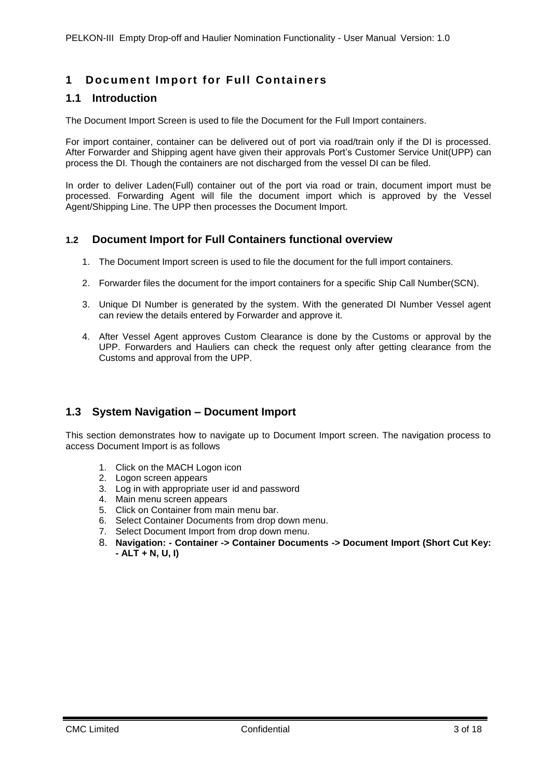# <span id="page-2-0"></span>**1 Document Import for Full Containers**

# <span id="page-2-1"></span>**1.1 Introduction**

The Document Import Screen is used to file the Document for the Full Import containers.

For import container, container can be delivered out of port via road/train only if the DI is processed. After Forwarder and Shipping agent have given their approvals Port's Customer Service Unit(UPP) can process the DI. Though the containers are not discharged from the vessel DI can be filed.

In order to deliver Laden(Full) container out of the port via road or train, document import must be processed. Forwarding Agent will file the document import which is approved by the Vessel Agent/Shipping Line. The UPP then processes the Document Import.

# <span id="page-2-2"></span>**1.2 Document Import for Full Containers functional overview**

- 1. The Document Import screen is used to file the document for the full import containers.
- 2. Forwarder files the document for the import containers for a specific Ship Call Number(SCN).
- 3. Unique DI Number is generated by the system. With the generated DI Number Vessel agent can review the details entered by Forwarder and approve it.
- 4. After Vessel Agent approves Custom Clearance is done by the Customs or approval by the UPP. Forwarders and Hauliers can check the request only after getting clearance from the Customs and approval from the UPP.

# <span id="page-2-3"></span>**1.3 System Navigation – Document Import**

This section demonstrates how to navigate up to Document Import screen. The navigation process to access Document Import is as follows

- 1. Click on the MACH Logon icon
- 2. Logon screen appears
- 3. Log in with appropriate user id and password
- 4. Main menu screen appears
- 5. Click on Container from main menu bar.
- 6. Select Container Documents from drop down menu.
- 7. Select Document Import from drop down menu.
- 8. **Navigation: - Container -> Container Documents -> Document Import (Short Cut Key: - ALT + N, U, I)**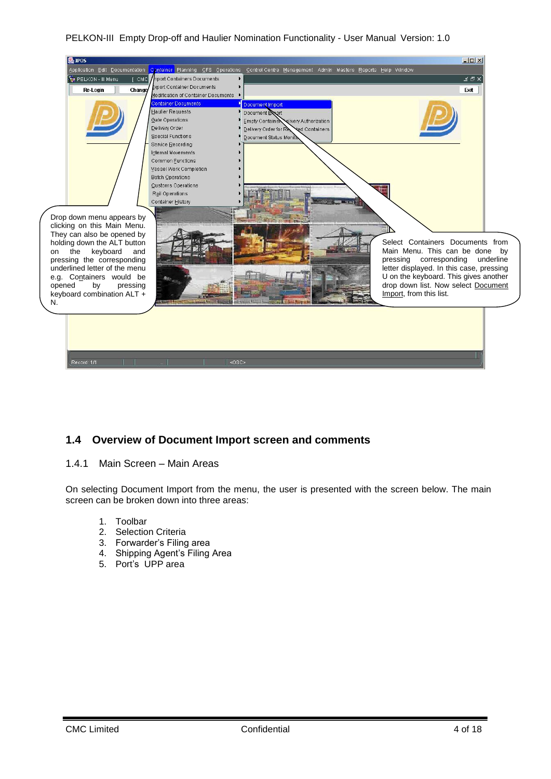

# <span id="page-3-0"></span>**1.4 Overview of Document Import screen and comments**

### <span id="page-3-1"></span>1.4.1 Main Screen – Main Areas

On selecting Document Import from the menu, the user is presented with the screen below. The main screen can be broken down into three areas:

- 1. Toolbar
- 2. Selection Criteria
- 3. Forwarder's Filing area
- 4. Shipping Agent's Filing Area
- 5. Port's UPP area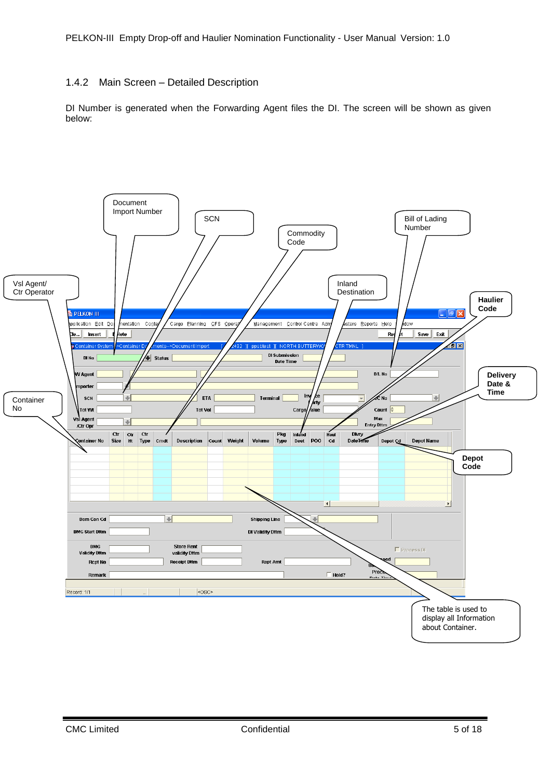### <span id="page-4-0"></span>1.4.2 Main Screen – Detailed Description

DI Number is generated when the Forwarding Agent files the DI. The screen will be shown as given below:

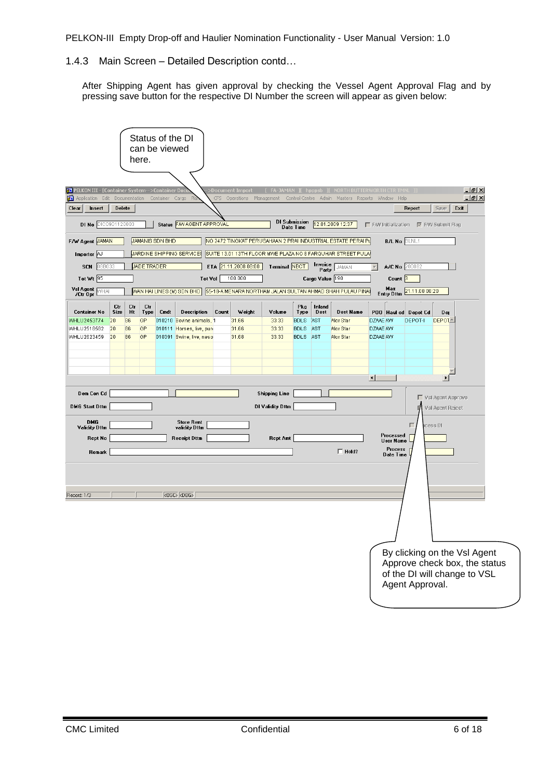<span id="page-5-0"></span>1.4.3 Main Screen – Detailed Description contd…

After Shipping Agent has given approval by checking the Vessel Agent Approval Flag and by pressing save button for the respective DI Number the screen will appear as given below:

|                                                                                                                                                                                                                                                                                                                                                                                                                                                                           |                               | Status of the DI<br>can be viewed<br>here.                   |                 |                                                                                                                              |                  |                                   |                                          |                                                          |                                     |                                                                                                                       |                                                                                                                                                          |                           |                                                                                               |  |
|---------------------------------------------------------------------------------------------------------------------------------------------------------------------------------------------------------------------------------------------------------------------------------------------------------------------------------------------------------------------------------------------------------------------------------------------------------------------------|-------------------------------|--------------------------------------------------------------|-----------------|------------------------------------------------------------------------------------------------------------------------------|------------------|-----------------------------------|------------------------------------------|----------------------------------------------------------|-------------------------------------|-----------------------------------------------------------------------------------------------------------------------|----------------------------------------------------------------------------------------------------------------------------------------------------------|---------------------------|-----------------------------------------------------------------------------------------------|--|
| <b>Container Dealer System--&gt;Container Doct</b><br>Application Edit<br>Clear<br>Insert<br><b>DI No DIC0901120003</b>                                                                                                                                                                                                                                                                                                                                                   | Delete                        | Documentation                                                | Container Cargo | Status F/W AGENT APPROVAL                                                                                                    | >Document Import | CFS Operations Management         |                                          | <b>DI Submission</b><br><b>Date Time</b>                 |                                     | 12.01.2009 12:37                                                                                                      | [ FA-JAMAN ][ hpppsb ][ NORTH BUTTERWORTH CTR TM<br>Control Centre Admin Masters Reports Window Help<br>$\Box$ FAW Initialization $\Box$ FAW Submit Flag | Report                    | $-1$ $-1 \times$<br>$-10 \times$<br>Save<br>Exit                                              |  |
| NO 2472 TINGKAT PERUSAHAAN 2 PRAHNDUSTRIAL ESTATE PERAI PL<br>F/W Agent JAMAN<br><b>JAMANIS SDN BHD</b><br><b>B/L No BLNL1</b><br>SUITE 13.01 13TH FLOOR MWE PLAZA NO 8 FARQUHAR STREET PULA<br>JARDINE SHIPPING SERVICES<br>Importer AJ<br>Invoice<br>Party<br><b>JADE TRADER</b><br>ETA 21.11.2008 08:00<br>A/C No 200082<br>08B033<br>Terminal NBCT<br><b>SCN</b><br>$\overline{\mathbf{v}}$<br>JAMAN<br>Tot $Wt$ 95<br>Tot Vol<br>100.000<br>Cargo Value 190<br>Count |                               |                                                              |                 |                                                                                                                              |                  |                                   |                                          |                                                          |                                     |                                                                                                                       |                                                                                                                                                          |                           |                                                                                               |  |
| Vsl Agent WHAT<br>Container No<br>WHLU2453774<br>WHLU2518582<br>WHLU2623459                                                                                                                                                                                                                                                                                                                                                                                               | Ctr<br>Size<br>20<br>20<br>20 | Ctr<br>Ctr<br>Ht<br>Type<br>GP<br>86<br>86<br>GP<br>86<br>GP | Cmdt            | WAN HAI LINES (M) SDN BHD<br>Description<br>010210 Bovine animals, 1<br>010111 Horses, live, pun<br>010391 Swine, live, neso | Count            | Weight<br>31.66<br>31.66<br>31.68 | Volume<br>33.33<br>33.33<br>33.33        | Pkg<br>Type<br><b>BDLS</b><br><b>BDLS</b><br><b>BDLS</b> | Inland<br>Dest<br>AST<br>AST<br>AST | 55-18-A MENARA NORTHAM JALAN SULTAN AHMAD SHAH PULAU PINAI<br><b>Dest Name</b><br>Alor Star<br>Alor Star<br>Alor Star | Max<br><b>Entry Dttm</b><br>POO Haul cd Depot Cd<br>DZAAE AW<br>DZAAE AW<br>DZAAE AW                                                                     | 21.11.08 08:20<br>DEPOT-I | De<br>DEPOTA                                                                                  |  |
|                                                                                                                                                                                                                                                                                                                                                                                                                                                                           |                               |                                                              |                 |                                                                                                                              |                  |                                   |                                          |                                                          |                                     |                                                                                                                       | $\left  \cdot \right $                                                                                                                                   |                           |                                                                                               |  |
| Dem Con Cd<br><b>DMG Start Dttm</b>                                                                                                                                                                                                                                                                                                                                                                                                                                       |                               |                                                              |                 |                                                                                                                              |                  |                                   | <b>Shipping Line</b><br>DI Validity Dttm |                                                          |                                     |                                                                                                                       |                                                                                                                                                          |                           | □ VsI Agent Approve<br>Vsl Agent Reject                                                       |  |
| <b>DMG</b><br><b>Validity Dttm</b><br>Rcpt No<br>Remark                                                                                                                                                                                                                                                                                                                                                                                                                   |                               |                                                              |                 | <b>Store Rent</b><br>validity Dttm<br><b>Receipt Dttm</b>                                                                    |                  |                                   | <b>Rept Amt</b>                          |                                                          |                                     | $\Box$ Hold?                                                                                                          | Processed<br>User Name<br><b>Process</b><br><b>Date Time</b>                                                                                             | cess DI<br>г              |                                                                                               |  |
| Record: 1/3                                                                                                                                                                                                                                                                                                                                                                                                                                                               |                               |                                                              |                 | $\overline{X}$ OSC> $\overline{X}$ $\overline{Y}$ DBG>                                                                       |                  |                                   |                                          |                                                          |                                     |                                                                                                                       |                                                                                                                                                          |                           |                                                                                               |  |
|                                                                                                                                                                                                                                                                                                                                                                                                                                                                           |                               |                                                              |                 |                                                                                                                              |                  |                                   |                                          |                                                          |                                     |                                                                                                                       |                                                                                                                                                          |                           |                                                                                               |  |
|                                                                                                                                                                                                                                                                                                                                                                                                                                                                           |                               |                                                              |                 |                                                                                                                              |                  |                                   |                                          |                                                          |                                     |                                                                                                                       | Agent Approval.                                                                                                                                          |                           | By clicking on the VsI Agent<br>Approve check box, the status<br>of the DI will change to VSL |  |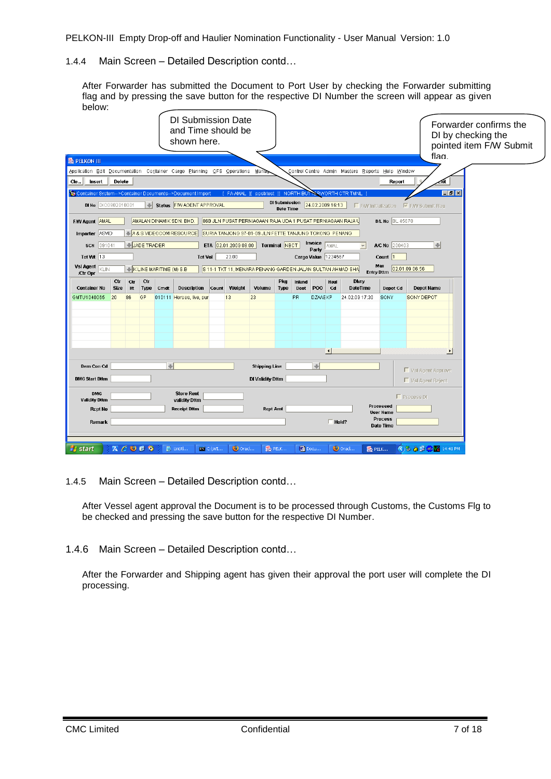### <span id="page-6-0"></span>1.4.4 Main Screen – Detailed Description contd…

After Forwarder has submitted the Document to Port User by checking the Forwarder submitting flag and by pressing the save button for the respective DI Number the screen will appear as given below:

|                                                                        |                    |                          |                        | <b>DI Submission Date</b><br>and Time should be<br>shown here.                 |                      |                                                             |                  |                       |                                |                                                  |                          |                             |                                                        |                        | Forwarder confirms the<br>DI by checking the<br>pointed item F/W Submit |
|------------------------------------------------------------------------|--------------------|--------------------------|------------------------|--------------------------------------------------------------------------------|----------------------|-------------------------------------------------------------|------------------|-----------------------|--------------------------------|--------------------------------------------------|--------------------------|-----------------------------|--------------------------------------------------------|------------------------|-------------------------------------------------------------------------|
| <b>&amp; PELKON III</b>                                                |                    |                          |                        |                                                                                |                      |                                                             |                  |                       |                                |                                                  |                          |                             |                                                        | flag.                  |                                                                         |
| Application Edit Documentation Container Cargo Planning CFS Operations |                    |                          |                        |                                                                                |                      | Mana                                                        |                  |                       |                                | Control Centre Admin Masters Reports Help Window |                          |                             |                                                        |                        |                                                                         |
| Cle<br>Insert                                                          | Delete             |                          |                        |                                                                                |                      |                                                             |                  |                       |                                |                                                  |                          | Report                      |                                                        |                        |                                                                         |
| Container System-->Container Documents-->Document Import               |                    |                          |                        |                                                                                |                      | [ FA-AMAL ][ ppsbtest ][ NORTH BUT NRWORTH CTR TMNL         |                  |                       | DI Submission 24.02.2009 16:13 |                                                  |                          |                             |                                                        | $\Box$ $\Box$ $\times$ |                                                                         |
| <b>DI No</b> DIC0902010001                                             |                    | ÷                        |                        | Status FM AGENT APPROVAL                                                       |                      |                                                             | <b>Date Time</b> |                       |                                |                                                  |                          |                             | $\Gamma$ FAW Initialization $\sqrt{M}$ FAW Submit Flag |                        |                                                                         |
| FAW Agent AMAL                                                         |                    |                          |                        | AMALAN DINAMIK SDN. BHD.                                                       |                      | 86B JLN PUSAT PERNIAGAAN RAJA UDA 1 PUSAT PERNIAGAAN RAJA U |                  |                       |                                |                                                  |                          | <b>B/L No BL 45670</b>      |                                                        |                        |                                                                         |
| Importer ASVID                                                         |                    |                          |                        | A & S VIDEOCOM RESOURCE SURIA TANJONG 97-01-09 JLN FETTE TANJUNG TOKONG PENANG |                      |                                                             |                  |                       |                                |                                                  |                          |                             |                                                        |                        |                                                                         |
| <b>SCN</b> 091041                                                      |                    | <b>JADE TRADER</b>       |                        |                                                                                | ETA 02.01.2009 08:00 |                                                             | Terminal NBCT    |                       | Invoice<br>AMAL<br>Party       |                                                  | $\overline{\phantom{a}}$ | A/C No 200403               | $\left  \cdot \right $                                 |                        |                                                                         |
| Tot Wt $ 13 $                                                          |                    |                          |                        | <b>Tot Vol</b>                                                                 | 23.00                |                                                             |                  |                       | Cargo Value 1234567            |                                                  |                          | Count                       |                                                        |                        |                                                                         |
| Vsl Agent <b>KLIN</b><br>/Ctr Opr                                      |                    | K LINE MARITIME (M) S.B  |                        |                                                                                |                      | S 11-1 TKT 11, MENARA PENANG GARDEN JALAN SULTAN AHMAD SHA  |                  |                       |                                |                                                  | <b>Entry Dttm</b>        | Max                         | 02.01.09 06:56                                         |                        |                                                                         |
| <b>Container No</b>                                                    | Ctr<br><b>Size</b> | Ctr<br>Ctr<br>Type<br>Ht | Cmdt                   | Description                                                                    | Weight<br>Count      | Volume                                                      | Pkg<br>Туре      | Inland<br><b>Dest</b> | POO                            | <b>DMTy</b><br>Haul<br>Cd                        | <b>DateTime</b>          | Depot Cd                    | <b>Depot Name</b>                                      |                        |                                                                         |
| GMTU1040065                                                            | 20<br>86           | GP                       |                        | 010111 Horses, live, pur                                                       | 13                   | 23                                                          |                  | <b>PR</b>             | <b>DZAAEKP</b>                 | 24.02.09 17:30                                   |                          | SONY                        | SONY DEPOT                                             |                        |                                                                         |
|                                                                        |                    |                          |                        |                                                                                |                      |                                                             |                  |                       |                                |                                                  |                          |                             |                                                        |                        |                                                                         |
|                                                                        |                    |                          |                        |                                                                                |                      |                                                             |                  |                       |                                |                                                  |                          |                             |                                                        |                        |                                                                         |
|                                                                        |                    |                          |                        |                                                                                |                      |                                                             |                  |                       |                                |                                                  |                          |                             |                                                        |                        |                                                                         |
|                                                                        |                    |                          |                        |                                                                                |                      |                                                             |                  |                       | $\overline{\mathbf{H}}$        |                                                  |                          |                             |                                                        | $\blacktriangleright$  |                                                                         |
|                                                                        |                    |                          |                        |                                                                                |                      |                                                             |                  |                       |                                |                                                  |                          |                             |                                                        |                        |                                                                         |
| Dem Con Cd                                                             |                    |                          | $\left  \cdot \right $ |                                                                                |                      | <b>Shipping Line</b>                                        |                  |                       | $\left  \cdot \right $         |                                                  |                          |                             | ■ VsI Agent Approve                                    |                        |                                                                         |
| <b>DMG Start Dttm</b>                                                  |                    |                          |                        |                                                                                |                      | DI Validity Dttm                                            |                  |                       |                                |                                                  |                          |                             | $\Gamma$ VsI Agent Reject                              |                        |                                                                         |
| <b>DMG</b><br><b>Validity Dttm</b>                                     |                    |                          |                        | <b>Store Rent</b><br>validity Dttm                                             |                      |                                                             |                  |                       |                                |                                                  |                          |                             | <b>F</b> Process DI                                    |                        |                                                                         |
| <b>Rcpt No</b>                                                         |                    |                          |                        | <b>Receipt Dttm</b>                                                            |                      |                                                             | <b>Rept Amt</b>  |                       |                                |                                                  |                          | Processed<br>User Name      |                                                        |                        |                                                                         |
| Remark                                                                 |                    |                          |                        |                                                                                |                      |                                                             |                  |                       |                                | $\Box$ Hold?                                     |                          | <b>Process</b><br>Date Time |                                                        |                        |                                                                         |
|                                                                        |                    |                          |                        |                                                                                |                      |                                                             |                  |                       |                                |                                                  |                          |                             |                                                        |                        |                                                                         |
| <b>H</b> start                                                         |                    | <b>ACOCO</b>             |                        | $\Box$ Untitl                                                                  | $ex$ C:\WI           | <b>S</b> Oracl                                              | 线 PELK           | Docu                  |                                | Soracl                                           | ®PELK                    |                             | <b>◆ ⑤ ● → 见 / 14:41 PM</b>                            |                        |                                                                         |

<span id="page-6-1"></span>1.4.5 Main Screen – Detailed Description contd…

After Vessel agent approval the Document is to be processed through Customs, the Customs Flg to be checked and pressing the save button for the respective DI Number.

<span id="page-6-2"></span>1.4.6 Main Screen – Detailed Description contd…

After the Forwarder and Shipping agent has given their approval the port user will complete the DI processing.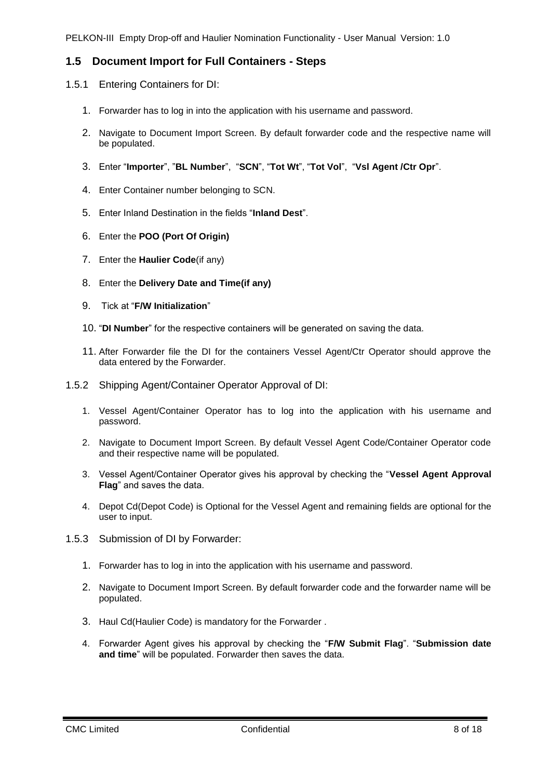# <span id="page-7-0"></span>**1.5 Document Import for Full Containers - Steps**

- <span id="page-7-1"></span>1.5.1 Entering Containers for DI:
	- 1. Forwarder has to log in into the application with his username and password.
	- 2. Navigate to Document Import Screen. By default forwarder code and the respective name will be populated.
	- 3. Enter "**Importer**", "**BL Number**", "**SCN**", "**Tot Wt**", "**Tot Vol**", "**Vsl Agent /Ctr Opr**".
	- 4. Enter Container number belonging to SCN.
	- 5. Enter Inland Destination in the fields "**Inland Dest**".
	- 6. Enter the **POO (Port Of Origin)**
	- 7. Enter the **Haulier Code**(if any)
	- 8. Enter the **Delivery Date and Time(if any)**
	- 9. Tick at "**F/W Initialization**"
	- 10. "**DI Number**" for the respective containers will be generated on saving the data.
	- 11. After Forwarder file the DI for the containers Vessel Agent/Ctr Operator should approve the data entered by the Forwarder.
- <span id="page-7-2"></span>1.5.2 Shipping Agent/Container Operator Approval of DI:
	- 1. Vessel Agent/Container Operator has to log into the application with his username and password.
	- 2. Navigate to Document Import Screen. By default Vessel Agent Code/Container Operator code and their respective name will be populated.
	- 3. Vessel Agent/Container Operator gives his approval by checking the "**Vessel Agent Approval Flag**" and saves the data.
	- 4. Depot Cd(Depot Code) is Optional for the Vessel Agent and remaining fields are optional for the user to input.
- <span id="page-7-3"></span>1.5.3 Submission of DI by Forwarder:
	- 1. Forwarder has to log in into the application with his username and password.
	- 2. Navigate to Document Import Screen. By default forwarder code and the forwarder name will be populated.
	- 3. Haul Cd(Haulier Code) is mandatory for the Forwarder .
	- 4. Forwarder Agent gives his approval by checking the "**F/W Submit Flag**". "**Submission date and time**" will be populated. Forwarder then saves the data.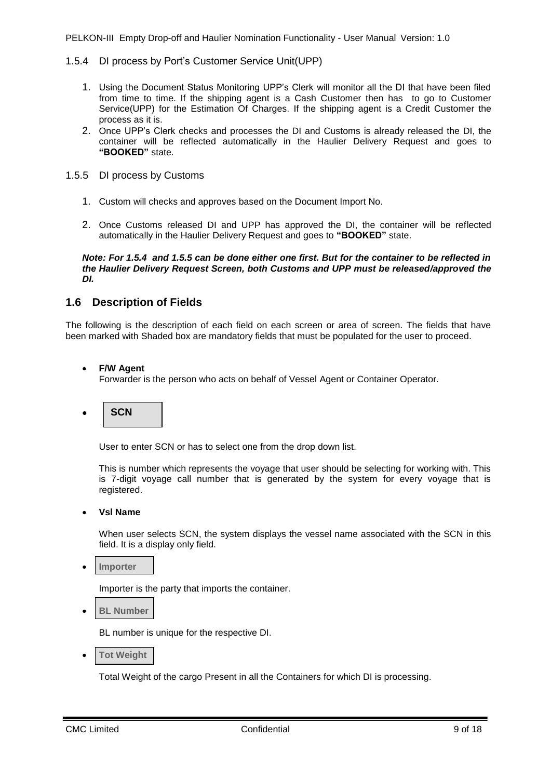- <span id="page-8-0"></span>1.5.4 DI process by Port's Customer Service Unit(UPP)
	- 1. Using the Document Status Monitoring UPP's Clerk will monitor all the DI that have been filed from time to time. If the shipping agent is a Cash Customer then has to go to Customer Service(UPP) for the Estimation Of Charges. If the shipping agent is a Credit Customer the process as it is.
	- 2. Once UPP's Clerk checks and processes the DI and Customs is already released the DI, the container will be reflected automatically in the Haulier Delivery Request and goes to **"BOOKED"** state.
- <span id="page-8-1"></span>1.5.5 DI process by Customs
	- 1. Custom will checks and approves based on the Document Import No.
	- 2. Once Customs released DI and UPP has approved the DI, the container will be reflected automatically in the Haulier Delivery Request and goes to **"BOOKED"** state.

*Note: For 1.5.4 and 1.5.5 can be done either one first. But for the container to be reflected in the Haulier Delivery Request Screen, both Customs and UPP must be released/approved the DI.*

# <span id="page-8-2"></span>**1.6 Description of Fields**

The following is the description of each field on each screen or area of screen. The fields that have been marked with Shaded box are mandatory fields that must be populated for the user to proceed.

### **F/W Agent**

Forwarder is the person who acts on behalf of Vessel Agent or Container Operator.



User to enter SCN or has to select one from the drop down list.

This is number which represents the voyage that user should be selecting for working with. This is 7-digit voyage call number that is generated by the system for every voyage that is registered.

**Vsl Name**

When user selects SCN, the system displays the vessel name associated with the SCN in this field. It is a display only field.

**Importer**

Importer is the party that imports the container.

**BL Number**

BL number is unique for the respective DI.

**Tot Weight**

Total Weight of the cargo Present in all the Containers for which DI is processing.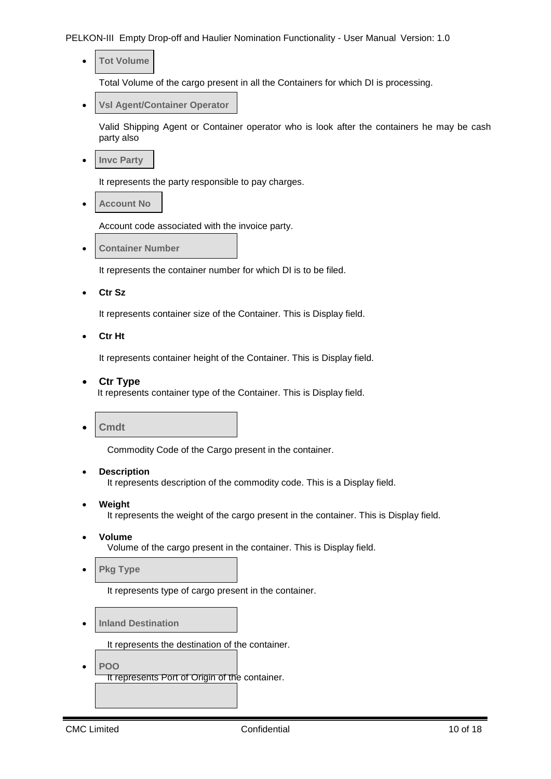**Tot Volume**

Total Volume of the cargo present in all the Containers for which DI is processing.

**Vsl Agent/Container Operator**

Valid Shipping Agent or Container operator who is look after the containers he may be cash party also

**Invc Party**

It represents the party responsible to pay charges.

**Account No**

Account code associated with the invoice party.

**Container Number**

It represents the container number for which DI is to be filed.

**Ctr Sz**

It represents container size of the Container. This is Display field.

**Ctr Ht**

It represents container height of the Container. This is Display field.

### **Ctr Type**

It represents container type of the Container. This is Display field.

**Cmdt**

Commodity Code of the Cargo present in the container.

**Description**

It represents description of the commodity code. This is a Display field.

**Weight**

It represents the weight of the cargo present in the container. This is Display field.

- **Volume**  Volume of the cargo present in the container. This is Display field.
- **Pkg Type**

It represents type of cargo present in the container.

**Inland Destination**

It represents the destination of the container.

 **POO**  It represents Port of Origin of the container.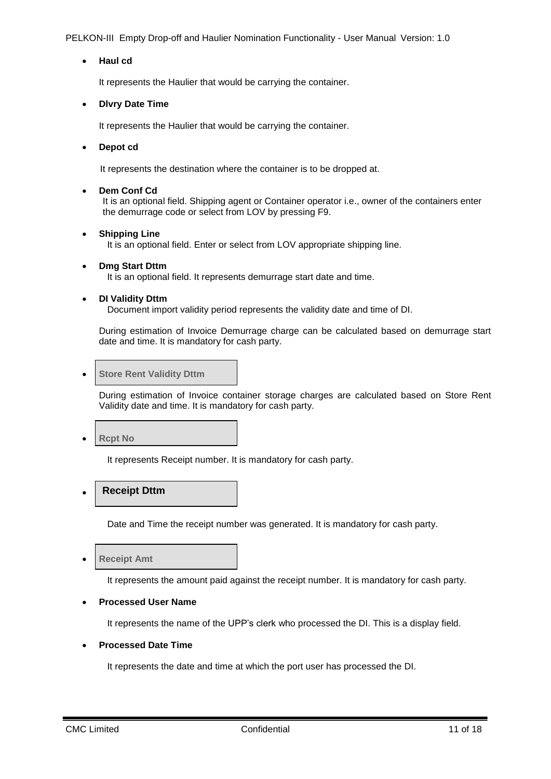### **Haul cd**

It represents the Haulier that would be carrying the container.

### **Dlvry Date Time**

It represents the Haulier that would be carrying the container.

### **Depot cd**

It represents the destination where the container is to be dropped at.

### **Dem Conf Cd**

 It is an optional field. Shipping agent or Container operator i.e., owner of the containers enter the demurrage code or select from LOV by pressing F9.

### **Shipping Line**

It is an optional field. Enter or select from LOV appropriate shipping line.

 **Dmg Start Dttm** It is an optional field. It represents demurrage start date and time.

### **DI Validity Dttm**

Document import validity period represents the validity date and time of DI.

During estimation of Invoice Demurrage charge can be calculated based on demurrage start date and time. It is mandatory for cash party.

**Store Rent Validity Dttm**

During estimation of Invoice container storage charges are calculated based on Store Rent Validity date and time. It is mandatory for cash party.

**Rcpt No**

It represents Receipt number. It is mandatory for cash party.

#### $\bullet$ **Receipt Dttm**

Date and Time the receipt number was generated. It is mandatory for cash party.

**Receipt Amt**

It represents the amount paid against the receipt number. It is mandatory for cash party.

### **Processed User Name**

It represents the name of the UPP's clerk who processed the DI. This is a display field.

### **Processed Date Time**

It represents the date and time at which the port user has processed the DI.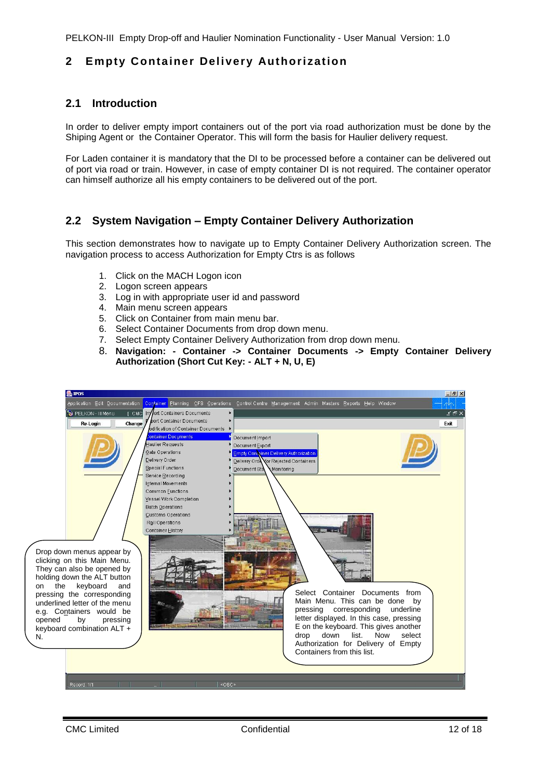# <span id="page-11-0"></span>**2 Empty Container Delivery Authorization**

# <span id="page-11-1"></span>**2.1 Introduction**

In order to deliver empty import containers out of the port via road authorization must be done by the Shiping Agent or the Container Operator. This will form the basis for Haulier delivery request.

For Laden container it is mandatory that the DI to be processed before a container can be delivered out of port via road or train. However, in case of empty container DI is not required. The container operator can himself authorize all his empty containers to be delivered out of the port.

# <span id="page-11-2"></span>**2.2 System Navigation – Empty Container Delivery Authorization**

This section demonstrates how to navigate up to Empty Container Delivery Authorization screen. The navigation process to access Authorization for Empty Ctrs is as follows

- 1. Click on the MACH Logon icon
- 2. Logon screen appears
- 3. Log in with appropriate user id and password
- 4. Main menu screen appears
- 5. Click on Container from main menu bar.
- 6. Select Container Documents from drop down menu.
- 7. Select Empty Container Delivery Authorization from drop down menu.
- 8. **Navigation: - Container -> Container Documents -> Empty Container Delivery Authorization (Short Cut Key: - ALT + N, U, E)**

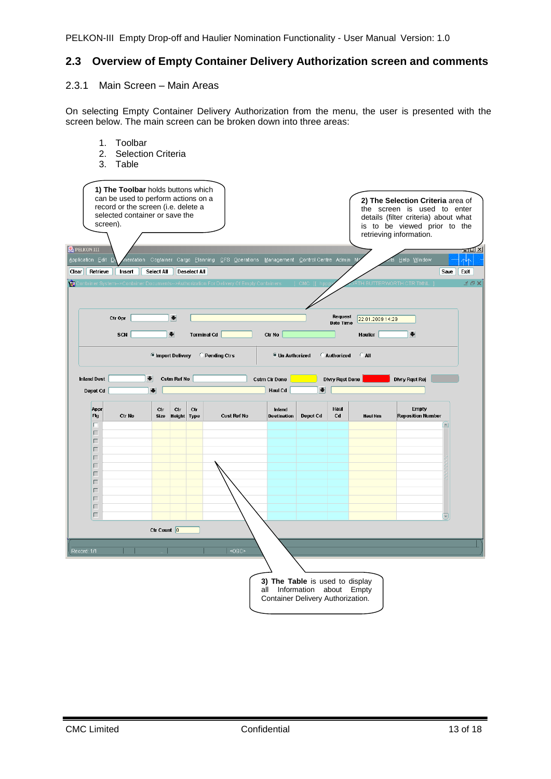# <span id="page-12-0"></span>**2.3 Overview of Empty Container Delivery Authorization screen and comments**

### <span id="page-12-1"></span>2.3.1 Main Screen – Main Areas

On selecting Empty Container Delivery Authorization from the menu, the user is presented with the screen below. The main screen can be broken down into three areas:

- 1. Toolbar
- 2. Selection Criteria
- 3. Table

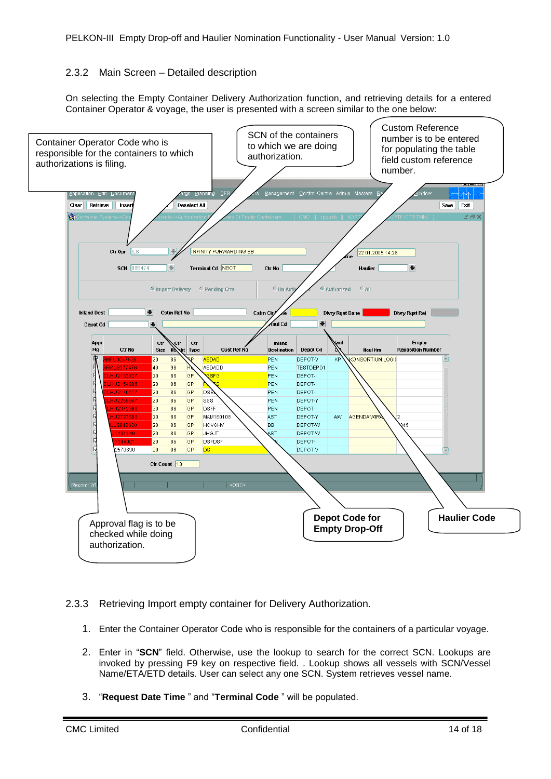### <span id="page-13-0"></span>2.3.2 Main Screen – Detailed description

On selecting the Empty Container Delivery Authorization function, and retrieving details for a entered Container Operator & voyage, the user is presented with a screen similar to the one below:



### <span id="page-13-1"></span>2.3.3 Retrieving Import empty container for Delivery Authorization.

- 1. Enter the Container Operator Code who is responsible for the containers of a particular voyage.
- 2. Enter in "**SCN**" field. Otherwise, use the lookup to search for the correct SCN. Lookups are invoked by pressing F9 key on respective field. . Lookup shows all vessels with SCN/Vessel Name/ETA/ETD details. User can select any one SCN. System retrieves vessel name.
- 3. "**Request Date Time** " and "**Terminal Code** " will be populated.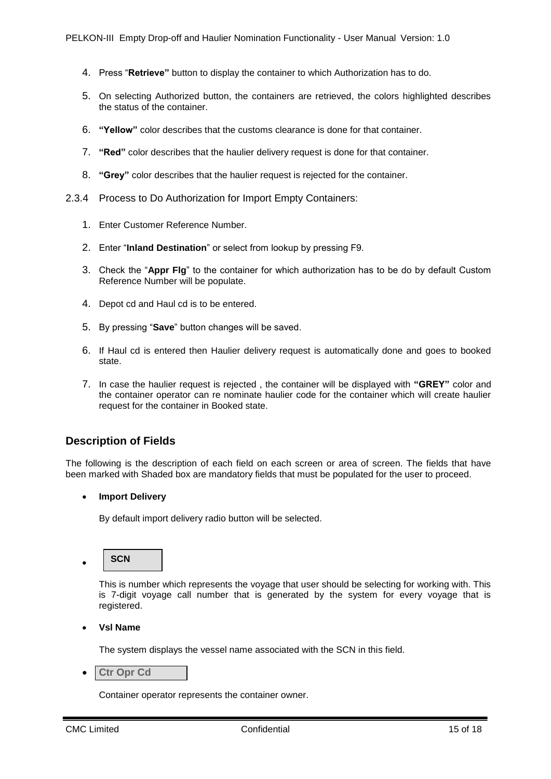- 4. Press "**Retrieve"** button to display the container to which Authorization has to do.
- 5. On selecting Authorized button, the containers are retrieved, the colors highlighted describes the status of the container.
- 6. **"Yellow"** color describes that the customs clearance is done for that container.
- 7. **"Red"** color describes that the haulier delivery request is done for that container.
- 8. **"Grey"** color describes that the haulier request is rejected for the container.
- <span id="page-14-0"></span>2.3.4 Process to Do Authorization for Import Empty Containers:
	- 1. Enter Customer Reference Number.
	- 2. Enter "**Inland Destination**" or select from lookup by pressing F9.
	- 3. Check the "**Appr Flg**" to the container for which authorization has to be do by default Custom Reference Number will be populate.
	- 4. Depot cd and Haul cd is to be entered.
	- 5. By pressing "**Save**" button changes will be saved.
	- 6. If Haul cd is entered then Haulier delivery request is automatically done and goes to booked state.
	- 7. In case the haulier request is rejected , the container will be displayed with **"GREY"** color and the container operator can re nominate haulier code for the container which will create haulier request for the container in Booked state.

# <span id="page-14-1"></span>**Description of Fields**

The following is the description of each field on each screen or area of screen. The fields that have been marked with Shaded box are mandatory fields that must be populated for the user to proceed.

### **Import Delivery**

By default import delivery radio button will be selected.



This is number which represents the voyage that user should be selecting for working with. This is 7-digit voyage call number that is generated by the system for every voyage that is registered.

**Vsl Name**

The system displays the vessel name associated with the SCN in this field.

**Ctr Opr Cd**

Container operator represents the container owner.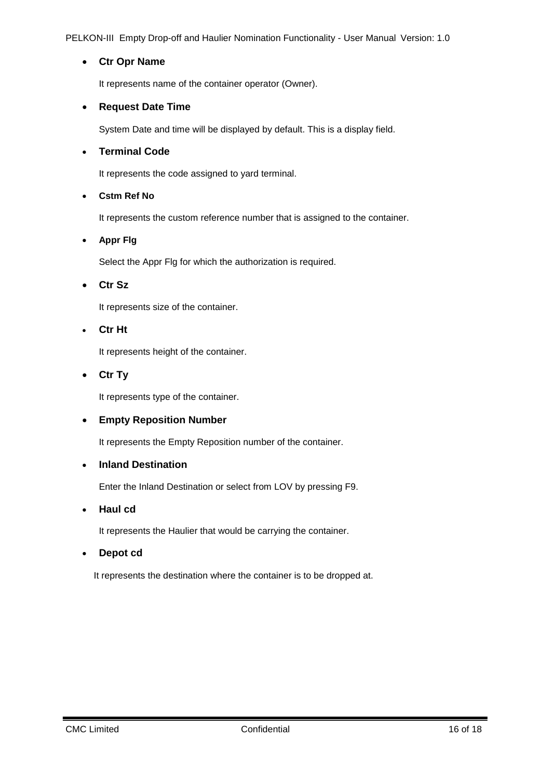# **Ctr Opr Name**

It represents name of the container operator (Owner).

# **Request Date Time**

System Date and time will be displayed by default. This is a display field.

# **Terminal Code**

It represents the code assigned to yard terminal.

### **Cstm Ref No**

It represents the custom reference number that is assigned to the container.

**Appr Flg**

Select the Appr Flg for which the authorization is required.

**Ctr Sz**

It represents size of the container.

**Ctr Ht**

It represents height of the container.

**Ctr Ty**

It represents type of the container.

# **Empty Reposition Number**

It represents the Empty Reposition number of the container.

**Inland Destination**

Enter the Inland Destination or select from LOV by pressing F9.

**Haul cd**

It represents the Haulier that would be carrying the container.

**Depot cd**

It represents the destination where the container is to be dropped at.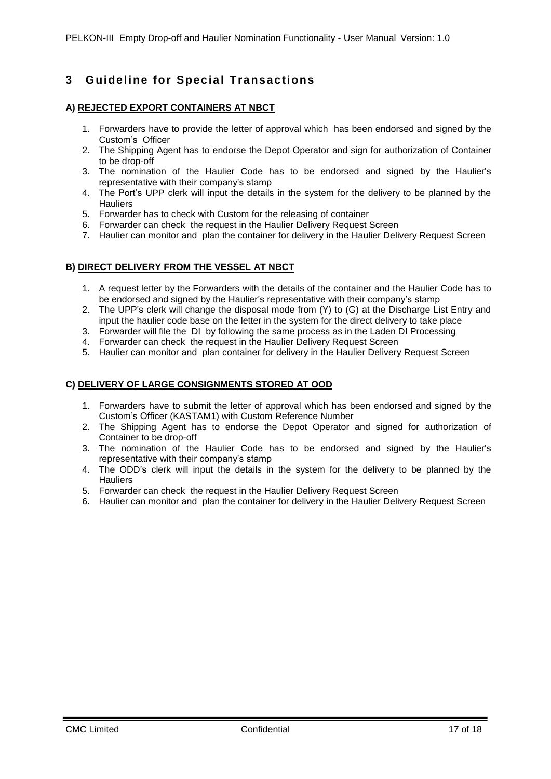# <span id="page-16-0"></span>**3 Guideline for Special Transactions**

### **A) REJECTED EXPORT CONTAINERS AT NBCT**

- 1. Forwarders have to provide the letter of approval which has been endorsed and signed by the Custom's Officer
- 2. The Shipping Agent has to endorse the Depot Operator and sign for authorization of Container to be drop-off
- 3. The nomination of the Haulier Code has to be endorsed and signed by the Haulier's representative with their company's stamp
- 4. The Port's UPP clerk will input the details in the system for the delivery to be planned by the **Hauliers**
- 5. Forwarder has to check with Custom for the releasing of container
- 6. Forwarder can check the request in the Haulier Delivery Request Screen
- 7. Haulier can monitor and plan the container for delivery in the Haulier Delivery Request Screen

### **B) DIRECT DELIVERY FROM THE VESSEL AT NBCT**

- 1. A request letter by the Forwarders with the details of the container and the Haulier Code has to be endorsed and signed by the Haulier's representative with their company's stamp
- 2. The UPP's clerk will change the disposal mode from (Y) to (G) at the Discharge List Entry and input the haulier code base on the letter in the system for the direct delivery to take place
- 3. Forwarder will file the DI by following the same process as in the Laden DI Processing
- 4. Forwarder can check the request in the Haulier Delivery Request Screen
- 5. Haulier can monitor and plan container for delivery in the Haulier Delivery Request Screen

### **C) DELIVERY OF LARGE CONSIGNMENTS STORED AT OOD**

- 1. Forwarders have to submit the letter of approval which has been endorsed and signed by the Custom's Officer (KASTAM1) with Custom Reference Number
- 2. The Shipping Agent has to endorse the Depot Operator and signed for authorization of Container to be drop-off
- 3. The nomination of the Haulier Code has to be endorsed and signed by the Haulier's representative with their company's stamp
- 4. The ODD's clerk will input the details in the system for the delivery to be planned by the **Hauliers**
- 5. Forwarder can check the request in the Haulier Delivery Request Screen
- 6. Haulier can monitor and plan the container for delivery in the Haulier Delivery Request Screen